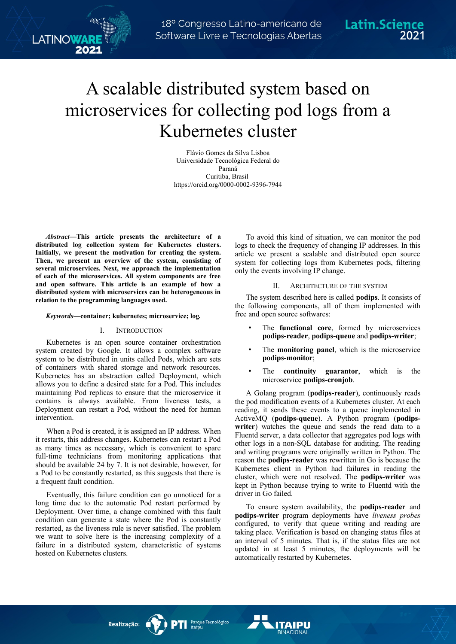# A scalable distributed system based on microservices for collecting pod logs from a Kubernetes cluster

Flávio Gomes da Silva Lisboa Universidade Tecnológica Federal do Paraná Curitiba, Brasil https://orcid.org/0000-0002-9396-7944

*Abstract***—This article presents the architecture of a distributed log collection system for Kubernetes clusters. Initially, we present the motivation for creating the system. Then, we present an overview of the system, consisting of several microservices. Next, we approach the implementation of each of the microservices. All system components are free and open software. This article is an example of how a distributed system with microservices can be heterogeneous in relation to the programming languages used.**

LATINOWAR

## *Keywords—***container; kubernetes; microservice; log***.*

### I. INTRODUCTION

Kubernetes is an open source container orchestration system created by Google. It allows a complex software system to be distributed in units called Pods, which are sets of containers with shared storage and network resources. Kubernetes has an abstraction called Deployment, which allows you to define a desired state for a Pod. This includes maintaining Pod replicas to ensure that the microservice it contains is always available. From liveness tests, a Deployment can restart a Pod, without the need for human intervention.

When a Pod is created, it is assigned an IP address. When it restarts, this address changes. Kubernetes can restart a Pod as many times as necessary, which is convenient to spare full-time technicians from monitoring applications that should be available 24 by 7. It is not desirable, however, for a Pod to be constantly restarted, as this suggests that there is a frequent fault condition.

Eventually, this failure condition can go unnoticed for a long time due to the automatic Pod restart performed by Deployment. Over time, a change combined with this fault condition can generate a state where the Pod is constantly restarted, as the liveness rule is never satisfied. The problem we want to solve here is the increasing complexity of a failure in a distributed system, characteristic of systems hosted on Kubernetes clusters.

To avoid this kind of situation, we can monitor the pod logs to check the frequency of changing IP addresses. In this article we present a scalable and distributed open source system for collecting logs from Kubernetes pods, filtering only the events involving IP change.

#### II. ARCHITECTURE OF THE SYSTEM

The system described here is called **podips**. It consists of the following components, all of them implemented with free and open source softwares:

- The **functional core**, formed by microservices **podips-reader**, **podips-queue** and **podips-writer**;
- The **monitoring panel**, which is the microservice **podips-monitor**;
- The **continuity guarantor**, which is the microservice **podips-cronjob**.

A Golang program (**podips-reader**), continuously reads the pod modification events of a Kubernetes cluster. At each reading, it sends these events to a queue implemented in ActiveMQ (**podips-queue**). A Python program (**podipswriter**) watches the queue and sends the read data to a Fluentd server, a data collector that aggregates pod logs with other logs in a non-SQL database for auditing. The reading and writing programs were originally written in Python. The reason the **podips-reader** was rewritten in Go is because the Kubernetes client in Python had failures in reading the cluster, which were not resolved. The **podips-writer** was kept in Python because trying to write to Fluentd with the driver in Go failed.

To ensure system availability, the **podips-reader** and **podips-writer** program deployments have *liveness probes* configured, to verify that queue writing and reading are taking place. Verification is based on changing status files at an interval of 5 minutes. That is, if the status files are not updated in at least 5 minutes, the deployments will be automatically restarted by Kubernetes.

Parque Tecnológico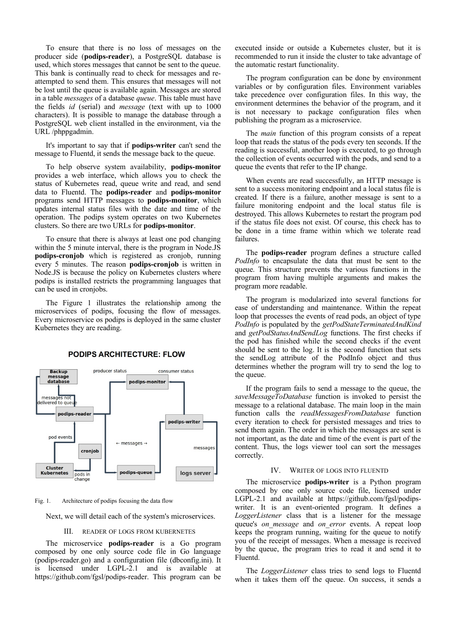To ensure that there is no loss of messages on the producer side (**podips-reader**), a PostgreSQL database is used, which stores messages that cannot be sent to the queue. This bank is continually read to check for messages and reattempted to send them. This ensures that messages will not be lost until the queue is available again. Messages are stored in a table *messages* of a database *queue*. This table must have the fields *id* (serial) and *message* (text with up to 1000 characters). It is possible to manage the database through a PostgreSQL web client installed in the environment, via the URL /phppgadmin.

It's important to say that if **podips-writer** can't send the message to Fluentd, it sends the message back to the queue.

To help observe system availability, **podips-monitor** provides a web interface, which allows you to check the status of Kubernetes read, queue write and read, and send data to Fluentd. The **podips-reader** and **podips-monitor** programs send HTTP messages to **podips-monitor**, which updates internal status files with the date and time of the operation. The podips system operates on two Kubernetes clusters. So there are two URLs for **podips-monitor**.

To ensure that there is always at least one pod changing within the 5 minute interval, there is the program in Node.JS **podips-cronjob** which is registered as cronjob, running every 5 minutes. The reason **podips-cronjob** is written in Node.JS is because the policy on Kubernetes clusters where podips is installed restricts the programming languages that can be used in cronjobs.

The Figure 1 illustrates the relationship among the microservices of podips, focusing the flow of messages. Every microservice os podips is deployed in the same cluster Kubernetes they are reading.



## **PODIPS ARCHITECTURE: FLOW**

Fig. 1. Architecture of podips focusing the data flow

Next, we will detail each of the system's microservices.

#### III. READER OF LOGS FROM KUBERNETES

The microservice **podips-reader** is a Go program composed by one only source code file in Go language (podips-reader.go) and a configuration file (dbconfig.ini). It is licensed under LGPL-2.1 and is available at https://github.com/fgsl/podips-reader. This program can be executed inside or outside a Kubernetes cluster, but it is recommended to run it inside the cluster to take advantage of the automatic restart functionality.

The program configuration can be done by environment variables or by configuration files. Environment variables take precedence over configuration files. In this way, the environment determines the behavior of the program, and it is not necessary to package configuration files when publishing the program as a microservice.

The *main* function of this program consists of a repeat loop that reads the status of the pods every ten seconds. If the reading is successful, another loop is executed, to go through the collection of events occurred with the pods, and send to a queue the events that refer to the IP change.

When events are read successfully, an HTTP message is sent to a success monitoring endpoint and a local status file is created. If there is a failure, another message is sent to a failure monitoring endpoint and the local status file is destroyed. This allows Kubernetes to restart the program pod if the status file does not exist. Of course, this check has to be done in a time frame within which we tolerate read failures.

The **podips-reader** program defines a structure called *PodInfo* to encapsulate the data that must be sent to the queue. This structure prevents the various functions in the program from having multiple arguments and makes the program more readable.

The program is modularized into several functions for ease of understanding and maintenance. Within the repeat loop that processes the events of read pods, an object of type *PodInfo* is populated by the *getPodStateTerminatedAndKind* and *getPodStatusAndSendLog* functions. The first checks if the pod has finished while the second checks if the event should be sent to the log. It is the second function that sets the sendLog attribute of the PodInfo object and thus determines whether the program will try to send the log to the queue.

If the program fails to send a message to the queue, the *saveMessageToDatabase* function is invoked to persist the message to a relational database. The main loop in the main function calls the *readMessagesFromDatabase* function every iteration to check for persisted messages and tries to send them again. The order in which the messages are sent is not important, as the date and time of the event is part of the content. Thus, the logs viewer tool can sort the messages correctly.

#### IV. WRITER OF LOGS INTO FLUENTD

The microservice **podips-writer** is a Python program composed by one only source code file, licensed under LGPL-2.1 and available at https://github.com/fgsl/podipswriter. It is an event-oriented program. It defines a *LoggerListener* class that is a listener for the message queue's *on\_message* and *on\_error* events. A repeat loop keeps the program running, waiting for the queue to notify you of the receipt of messages. When a message is received by the queue, the program tries to read it and send it to Fluentd.

The *LoggerListener* class tries to send logs to Fluentd when it takes them off the queue. On success, it sends a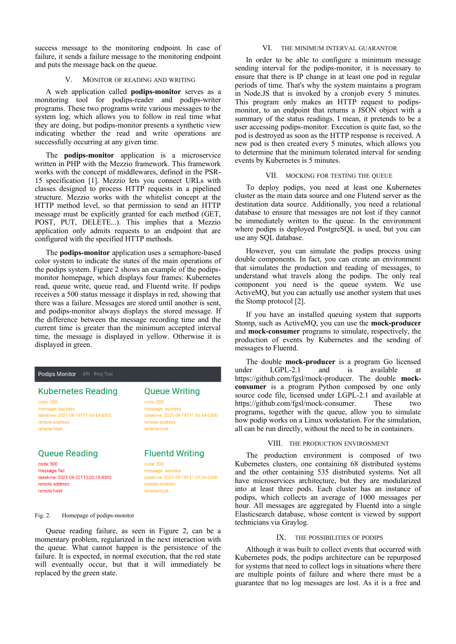success message to the monitoring endpoint. In case of failure, it sends a failure message to the monitoring endpoint and puts the message back on the queue.

# V. MONITOR OF READING AND WRITING

A web application called **podips-monitor** serves as a monitoring tool for podips-reader and podips-writer programs. These two programs write various messages to the system log, which allows you to follow in real time what they are doing, but podips-monitor presents a synthetic view indicating whether the read and write operations are successfully occurring at any given time.

The **podips-monitor** application is a microservice written in PHP with the Mezzio framework. This framework works with the concept of middlewares, defined in the PSR-15 specification [1]. Mezzio lets you connect URLs with classes designed to process HTTP requests in a pipelined structure. Mezzio works with the whitelist concept at the HTTP method level, so that permission to send an HTTP message must be explicitly granted for each method (GET, POST, PUT, DELETE...). This implies that a Mezzio application only admits requests to an endpoint that are configured with the specified HTTP methods.

The **podips-monitor** application uses a semaphore-based color system to indicate the states of the main operations of the podips system. Figure 2 shows an example of the podipsmonitor homepage, which displays four frames: Kubernetes read, queue write, queue read, and Fluentd write. If podips receives a 500 status message it displays in red, showing that there was a failure. Messages are stored until another is sent, and podips-monitor always displays the stored message. If the difference between the message recording time and the current time is greater than the minimum accepted interval time, the message is displayed in yellow. Otherwise it is displayed in green.

# Podips Monitor API Ping Test

# **Kubernetes Reading**

code: 200 message: success datetime: 2021-09-18T11:54:44-0300 remote address: remote host:

# **Queue Reading**

code: 500 message: fail datetime: 2021-09-22T15:03:18-0300 remote address: remote host:

# **Queue Writing**

code: 200 message: success datetime: 2021-09-18T11:54:44-0300 remote address: remote host:

# **Fluentd Writing**

code: 200 message: success datetime: 2021-09-18T11:51:26-0300 remote address: remote host:

Fig. 2. Homepage of podips-monitor

Queue reading failure, as seen in Figure 2, can be a momentary problem, regularized in the next interaction with the queue. What cannot happen is the persistence of the failure. It is expected, in normal execution, that the red state will eventually occur, but that it will immediately be replaced by the green state.

#### VI. THE MINIMUM INTERVAL GUARANTOR

In order to be able to configure a minimum message sending interval for the podips-monitor, it is necessary to ensure that there is IP change in at least one pod in regular periods of time. That's why the system maintains a program in Node.JS that is invoked by a cronjob every 5 minutes. This program only makes an HTTP request to podipsmonitor, to an endpoint that returns a JSON object with a summary of the status readings. I mean, it pretends to be a user accessing podips-monitor. Execution is quite fast, so the pod is destroyed as soon as the HTTP response is received. A new pod is then created every 5 minutes, which allows you to determine that the minimum tolerated interval for sending events by Kubernetes is 5 minutes.

#### VII. MOCKING FOR TESTING THE QUEUE

To deploy podips, you need at least one Kubernetes cluster as the main data source and one Flutend server as the destination data source. Additionally, you need a relational database to ensure that messages are not lost if they cannot be immediately written to the queue. In the environment where podips is deployed PostgreSQL is used, but you can use any SQL database.

However, you can simulate the podips process using double components. In fact, you can create an environment that simulates the production and reading of messages, to understand what travels along the podips. The only real component you need is the queue system. We use ActiveMQ, but you can actually use another system that uses the Stomp protocol [2].

If you have an installed queuing system that supports Stomp, such as ActiveMQ, you can use the **mock-producer** and **mock-consumer** programs to simulate, respectively, the production of events by Kubernetes and the sending of messages to Fluentd.

The double **mock-producer** is a program Go licensed under LGPL-2.1 and is available at https://github.com/fgsl/mock-producer. The double **mockconsumer** is a program Python composed by one only source code file, licensed under LGPL-2.1 and available at https://github.com/fgsl/mock-consumer. These two programs, together with the queue, allow you to simulate how podip works on a Linux workstation. For the simulation, all can be run directly, without the need to be in containers.

#### VIII. THE PRODUCTION ENVIRONMENT

The production environment is composed of two Kubernetes clusters, one containing 68 distributed systems and the other containing 535 distributed systems. Not all have microservices architecture, but they are modularized into at least three pods. Each cluster has an instance of podips, which collects an average of 1000 messages per hour. All messages are aggregated by Fluentd into a single Elasticsearch database, whose content is viewed by support technicians via Graylog.

#### IX. THE POSSIBILITIES OF PODIPS

Although it was built to collect events that occurred with Kubernetes pods, the podips architecture can be repurposed for systems that need to collect logs in situations where there are multiple points of failure and where there must be a guarantee that no log messages are lost. As it is a free and